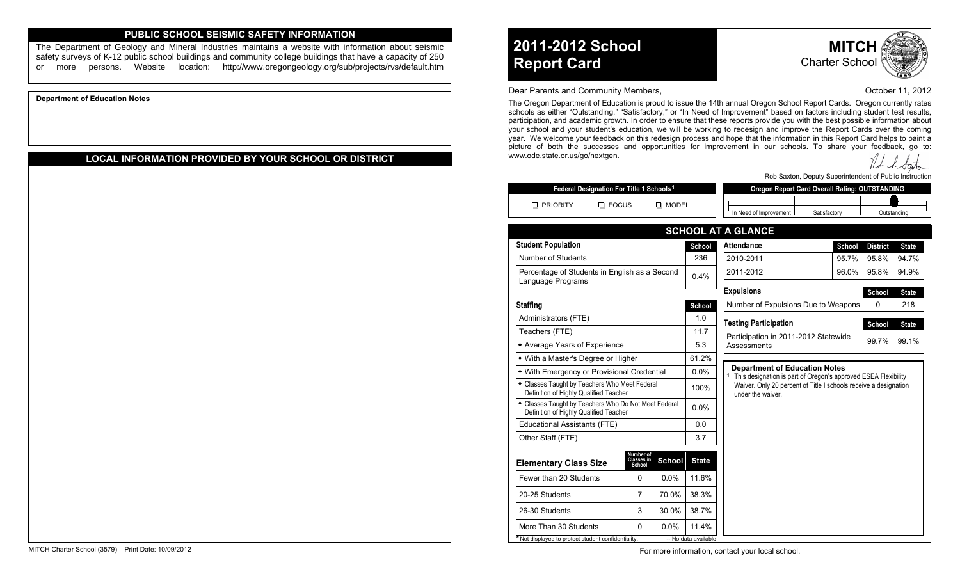## **PUBLIC SCHOOL SEISMIC SAFETY INFORMATION**

The Department of Geology and Mineral Industries maintains a website with information about seismic safety surveys of K-12 public school buildings and community college buildings that have a capacity of 250 or more persons. Website location: http://www.oregongeology.org/sub/projects/rvs/default.htm

**Department of Education Notes**

# **LOCAL INFORMATION PROVIDED BY YOUR SCHOOL OR DISTRICT**

**2011-2012 School Report Card**

**MITC** Charter School

#### Dear Parents and Community Members, **Dear Parents and Community Members**, **Dear Parents and Community Members**,

The Oregon Department of Education is proud to issue the 14th annual Oregon School Report Cards. Oregon currently rates schools as either "Outstanding," "Satisfactory," or "In Need of Improvement" based on factors including student test results, participation, and academic growth. In order to ensure that these reports provide you with the best possible information about your school and your student's education, we will be working to redesign and improve the Report Cards over the coming year. We welcome your feedback on this redesign process and hope that the information in this Report Card helps to paint a picture of both the successes and opportunities for improvement in our schools. To share your feedback, go to: www.ode.state.or.us/go/nextgen.

Rob Saxton, Deputy Superintendent of Public Instruction

| Federal Designation For Title 1 Schools <sup>1</sup> |              |       | Oregon Report Card Overall Rating: OUTSTANDING |              |             |  |  |  |  |
|------------------------------------------------------|--------------|-------|------------------------------------------------|--------------|-------------|--|--|--|--|
| <b>PRIORITY</b>                                      | <b>FOCUS</b> | MODEL |                                                |              |             |  |  |  |  |
|                                                      |              |       | Need of Improvement                            | Satisfactory | ⊃utstandinc |  |  |  |  |

| <b>Student Population</b>                                                                      |                                   |               | School       | <b>Attendance</b>                                                                                                                                                                                            | School | <b>District</b> | <b>State</b> |  |  |  |  |
|------------------------------------------------------------------------------------------------|-----------------------------------|---------------|--------------|--------------------------------------------------------------------------------------------------------------------------------------------------------------------------------------------------------------|--------|-----------------|--------------|--|--|--|--|
| Number of Students                                                                             |                                   |               | 236          | 2010-2011                                                                                                                                                                                                    | 95.7%  | 95.8%           | 94.7%        |  |  |  |  |
| Percentage of Students in English as a Second<br>Language Programs                             |                                   |               | 0.4%         | 2011-2012                                                                                                                                                                                                    | 95.8%  | 94.9%           |              |  |  |  |  |
|                                                                                                |                                   |               |              | <b>Expulsions</b>                                                                                                                                                                                            | School | <b>State</b>    |              |  |  |  |  |
| <b>Staffing</b>                                                                                |                                   |               | School       | Number of Expulsions Due to Weapons<br>0<br>218                                                                                                                                                              |        |                 |              |  |  |  |  |
| Administrators (FTE)                                                                           |                                   |               | 1.0          | <b>Testing Participation</b>                                                                                                                                                                                 |        | School          | <b>State</b> |  |  |  |  |
| Teachers (FTE)                                                                                 |                                   |               | 11.7         | Participation in 2011-2012 Statewide                                                                                                                                                                         |        |                 |              |  |  |  |  |
| • Average Years of Experience                                                                  |                                   |               | 5.3          | Assessments                                                                                                                                                                                                  | 99.7%  | 99.1%           |              |  |  |  |  |
| • With a Master's Degree or Higher                                                             |                                   |               | 61.2%        |                                                                                                                                                                                                              |        |                 |              |  |  |  |  |
| • With Emergency or Provisional Credential                                                     |                                   |               | 0.0%         | <b>Department of Education Notes</b><br><sup>1</sup> This designation is part of Oregon's approved ESEA Flexibility<br>Waiver. Only 20 percent of Title I schools receive a designation<br>under the waiver. |        |                 |              |  |  |  |  |
| • Classes Taught by Teachers Who Meet Federal<br>Definition of Highly Qualified Teacher        |                                   |               | 100%         |                                                                                                                                                                                                              |        |                 |              |  |  |  |  |
| • Classes Taught by Teachers Who Do Not Meet Federal<br>Definition of Highly Qualified Teacher |                                   |               | $0.0\%$      |                                                                                                                                                                                                              |        |                 |              |  |  |  |  |
| Educational Assistants (FTE)                                                                   |                                   |               | 0.0          |                                                                                                                                                                                                              |        |                 |              |  |  |  |  |
| Other Staff (FTE)                                                                              |                                   |               | 3.7          |                                                                                                                                                                                                              |        |                 |              |  |  |  |  |
| <b>Elementary Class Size</b>                                                                   | Number of<br>Classes in<br>School | <b>School</b> | <b>State</b> |                                                                                                                                                                                                              |        |                 |              |  |  |  |  |
| Fewer than 20 Students                                                                         | 0                                 | 0.0%          | 11.6%        |                                                                                                                                                                                                              |        |                 |              |  |  |  |  |
| 20-25 Students                                                                                 | $\overline{7}$                    | 70.0%         | 38.3%        |                                                                                                                                                                                                              |        |                 |              |  |  |  |  |
| 26-30 Students                                                                                 | 3                                 | 30.0%         | 38.7%        |                                                                                                                                                                                                              |        |                 |              |  |  |  |  |
|                                                                                                |                                   |               |              |                                                                                                                                                                                                              |        |                 |              |  |  |  |  |